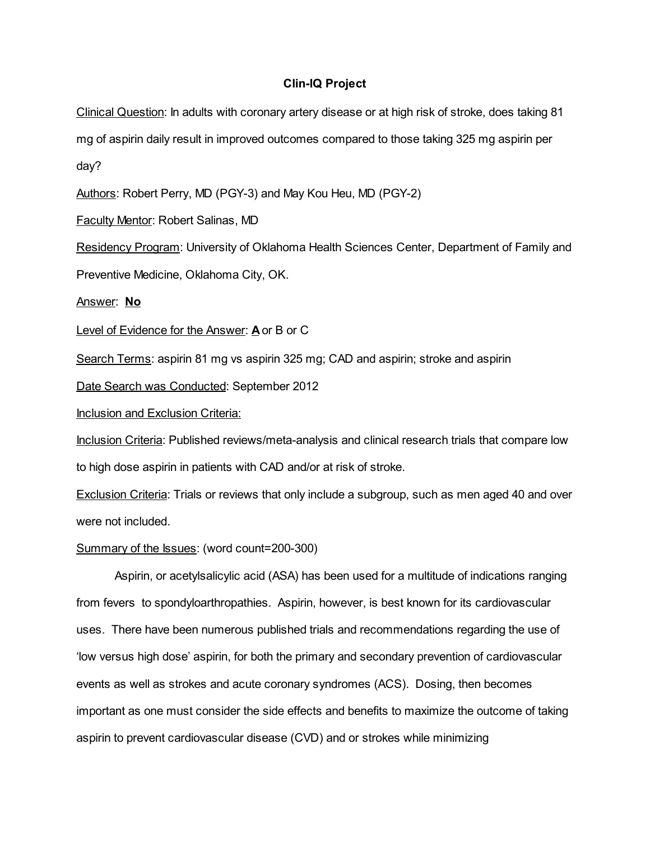# Clin-IQ Project

Clinical Question: In adults with coronary artery disease or at high risk of stroke, does taking 81 mg of aspirin daily result in improved outcomes compared to those taking 325 mg aspirin per day?

Authors: Robert Perry, MD (PGY-3) and May Kou Heu, MD (PGY-2)

Faculty Mentor: Robert Salinas, MD

Residency Program: University of Oklahoma Health Sciences Center, Department of Family and

Preventive Medicine, Oklahoma City, OK.

Answer: No

Level of Evidence for the Answer: A or B or C

Search Terms: aspirin 81 mg vs aspirin 325 mg; CAD and aspirin; stroke and aspirin

Date Search was Conducted: September 2012

Inclusion and Exclusion Criteria:

Inclusion Criteria: Published reviews/meta-analysis and clinical research trials that compare low to high dose aspirin in patients with CAD and/or at risk of stroke.

**Exclusion Criteria:** Trials or reviews that only include a subgroup, such as men aged 40 and over were not included.

## Summary of the Issues: (word count=200-300)

Aspirin, or acetylsalicylic acid (ASA) has been used for a multitude of indications ranging from fevers to spondyloarthropathies. Aspirin, however, is best known for its cardiovascular uses. There have been numerous published trials and recommendations regarding the use of 'low versus high dose' aspirin, for both the primary and secondary prevention of cardiovascular events as well as strokes and acute coronary syndromes (ACS). Dosing, then becomes important as one must consider the side effects and benefits to maximize the outcome of taking aspirin to prevent cardiovascular disease (CVD) and or strokes while minimizing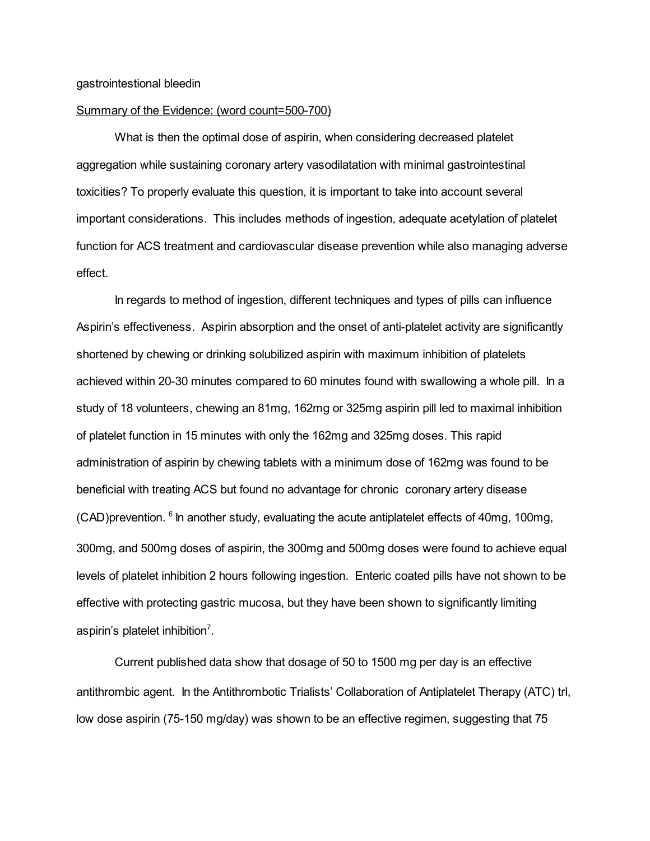#### Summary of the Evidence: (word count=500-700)

What is then the optimal dose of aspirin, when considering decreased platelet aggregation while sustaining coronary artery vasodilatation with minimal gastrointestinal toxicities? To properly evaluate this question, it is important to take into account several important considerations. This includes methods of ingestion, adequate acetylation of platelet function for ACS treatment and cardiovascular disease prevention while also managing adverse effect.

In regards to method of ingestion, different techniques and types of pills can influence Aspirin's effectiveness. Aspirin absorption and the onset of anti-platelet activity are significantly shortened by chewing or drinking solubilized aspirin with maximum inhibition of platelets achieved within 20-30 minutes compared to 60 minutes found with swallowing a whole pill. In a study of 18 volunteers, chewing an 81mg, 162mg or 325mg aspirin pill led to maximal inhibition of platelet function in 15 minutes with only the 162mg and 325mg doses. This rapid administration of aspirin by chewing tablets with a minimum dose of 162mg was found to be beneficial with treating ACS but found no advantage for chronic coronary artery disease (CAD)prevention. <sup>6</sup> In another study, evaluating the acute antiplatelet effects of 40mg, 100mg, 300mg, and 500mg doses of aspirin, the 300mg and 500mg doses were found to achieve equal levels of platelet inhibition 2 hours following ingestion. Enteric coated pills have not shown to be effective with protecting gastric mucosa, but they have been shown to significantly limiting aspirin's platelet inhibition<sup>7</sup>.

Current published data show that dosage of 50 to 1500 mg per day is an effective antithrombic agent. In the Antithrombotic Trialists' Collaboration of Antiplatelet Therapy (ATC) trl, low dose aspirin (75-150 mg/day) was shown to be an effective regimen, suggesting that 75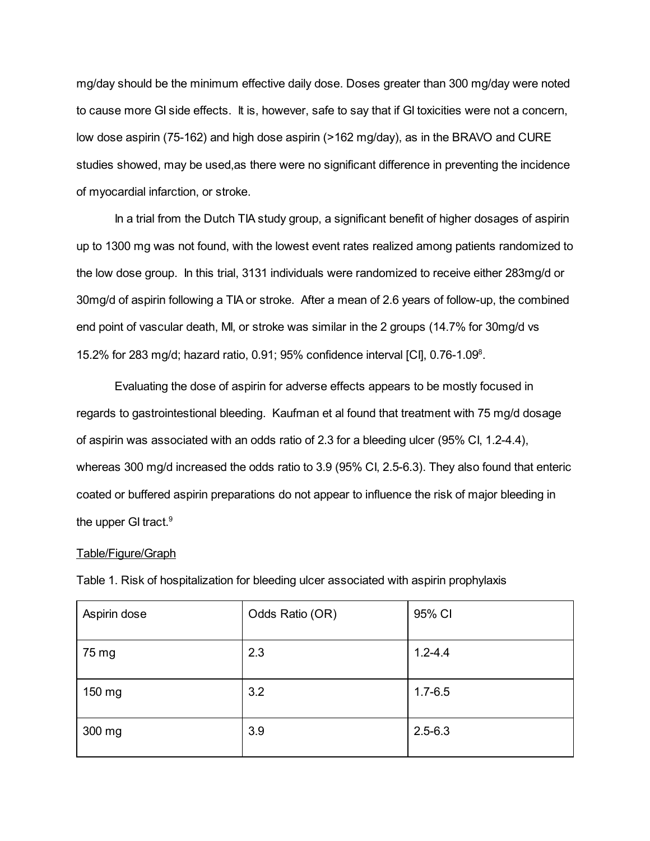mg/day should be the minimum effective daily dose. Doses greater than 300 mg/day were noted to cause more GI side effects. It is, however, safe to say that if GI toxicities were not a concern, low dose aspirin (75-162) and high dose aspirin (>162 mg/day), as in the BRAVO and CURE studies showed, may be used,as there were no significant difference in preventing the incidence of myocardial infarction, or stroke.

In a trial from the Dutch TIA study group, a significant benefit of higher dosages of aspirin up to 1300 mg was not found, with the lowest event rates realized among patients randomized to the low dose group. In this trial, 3131 individuals were randomized to receive either 283mg/d or 30mg/d of aspirin following a TIA or stroke. After a mean of 2.6 years of follow-up, the combined end point of vascular death, MI, or stroke was similar in the 2 groups (14.7% for 30mg/d vs 15.2% for 283 mg/d; hazard ratio, 0.91; 95% confidence interval [CI], 0.76-1.09 8 .

Evaluating the dose of aspirin for adverse effects appears to be mostly focused in regards to gastrointestional bleeding. Kaufman et al found that treatment with 75 mg/d dosage of aspirin was associated with an odds ratio of 2.3 for a bleeding ulcer (95% CI, 1.2-4.4), whereas 300 mg/d increased the odds ratio to 3.9 (95% CI, 2.5-6.3). They also found that enteric coated or buffered aspirin preparations do not appear to influence the risk of major bleeding in the upper GI tract.<sup>9</sup>

#### Table/Figure/Graph

| Aspirin dose | Odds Ratio (OR) | 95% CI      |
|--------------|-----------------|-------------|
| 75 mg        | 2.3             | $1.2 - 4.4$ |
| 150 mg       | 3.2             | $1.7 - 6.5$ |
| 300 mg       | 3.9             | $2.5 - 6.3$ |

Table 1. Risk of hospitalization for bleeding ulcer associated with aspirin prophylaxis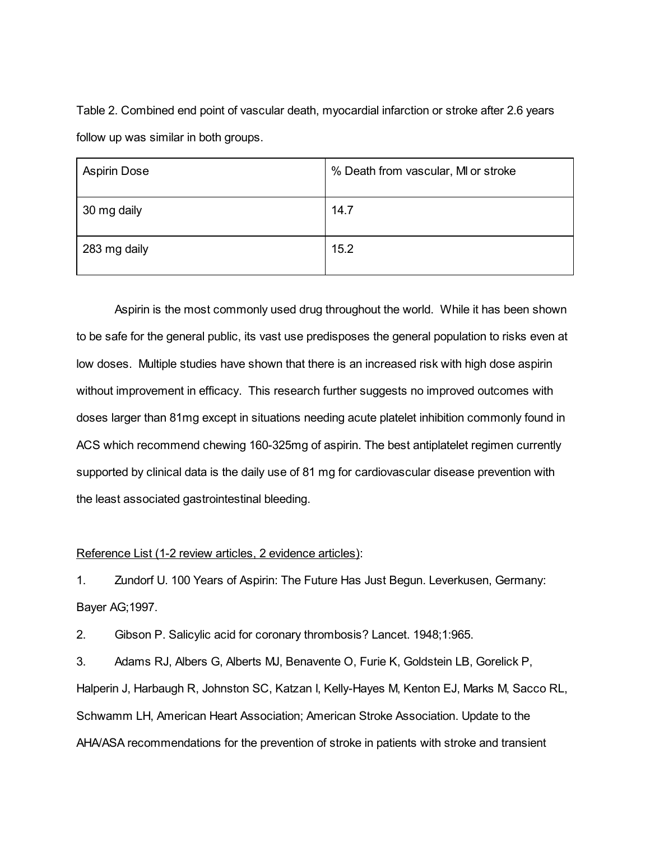Table 2. Combined end point of vascular death, myocardial infarction or stroke after 2.6 years follow up was similar in both groups.

| <b>Aspirin Dose</b> | % Death from vascular, MI or stroke |
|---------------------|-------------------------------------|
| 30 mg daily         | 14.7                                |
| 283 mg daily        | 15.2                                |

Aspirin is the most commonly used drug throughout the world. While it has been shown to be safe for the general public, its vast use predisposes the general population to risks even at low doses. Multiple studies have shown that there is an increased risk with high dose aspirin without improvement in efficacy. This research further suggests no improved outcomes with doses larger than 81mg except in situations needing acute platelet inhibition commonly found in ACS which recommend chewing 160-325mg of aspirin. The best antiplatelet regimen currently supported by clinical data is the daily use of 81 mg for cardiovascular disease prevention with the least associated gastrointestinal bleeding.

## Reference List (1-2 review articles, 2 evidence articles):

1. Zundorf U. 100 Years of Aspirin: The Future Has Just Begun. Leverkusen, Germany: Bayer AG;1997.

2. Gibson P. Salicylic acid for coronary thrombosis? Lancet. 1948;1:965.

3. Adams RJ, Albers G, Alberts MJ, Benavente O, Furie K, Goldstein LB, Gorelick P, Halperin J, Harbaugh R, Johnston SC, Katzan I, Kelly-Hayes M, Kenton EJ, Marks M, Sacco RL, Schwamm LH, American Heart Association; American Stroke Association. Update to the AHA/ASA recommendations for the prevention of stroke in patients with stroke and transient